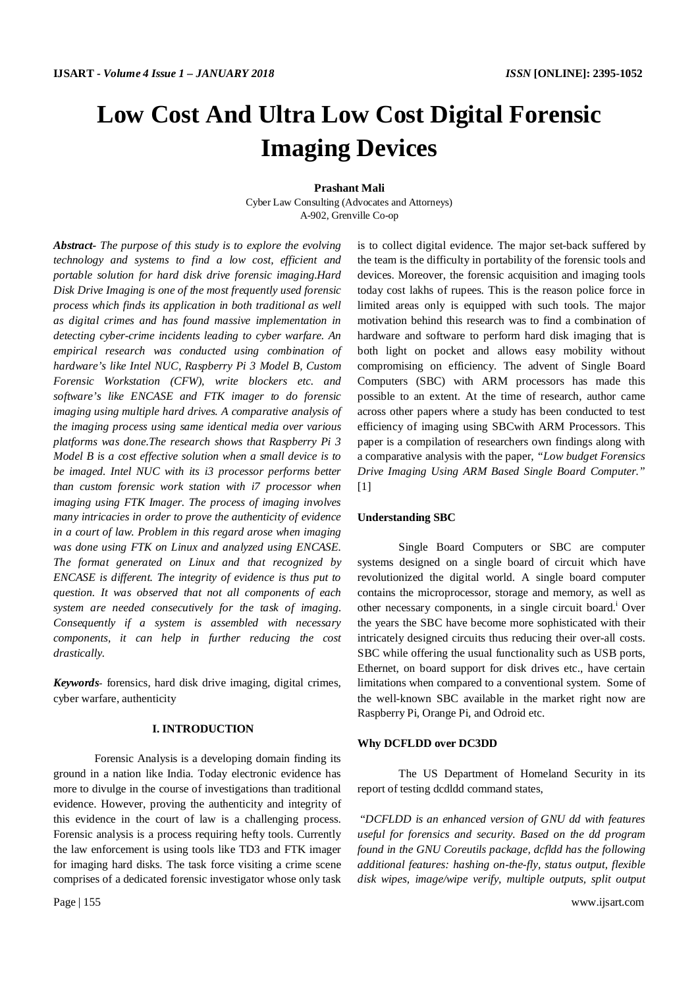# **Low Cost And Ultra Low Cost Digital Forensic Imaging Devices**

**Prashant Mali**

Cyber Law Consulting (Advocates and Attorneys) A-902, Grenville Co-op

*Abstract- The purpose of this study is to explore the evolving technology and systems to find a low cost, efficient and portable solution for hard disk drive forensic imaging.Hard Disk Drive Imaging is one of the most frequently used forensic process which finds its application in both traditional as well as digital crimes and has found massive implementation in detecting cyber-crime incidents leading to cyber warfare. An empirical research was conducted using combination of hardware's like Intel NUC, Raspberry Pi 3 Model B, Custom Forensic Workstation (CFW), write blockers etc. and software's like ENCASE and FTK imager to do forensic imaging using multiple hard drives. A comparative analysis of the imaging process using same identical media over various platforms was done.The research shows that Raspberry Pi 3 Model B is a cost effective solution when a small device is to be imaged. Intel NUC with its i3 processor performs better than custom forensic work station with i7 processor when imaging using FTK Imager. The process of imaging involves many intricacies in order to prove the authenticity of evidence in a court of law. Problem in this regard arose when imaging was done using FTK on Linux and analyzed using ENCASE. The format generated on Linux and that recognized by ENCASE is different. The integrity of evidence is thus put to question. It was observed that not all components of each system are needed consecutively for the task of imaging. Consequently if a system is assembled with necessary components, it can help in further reducing the cost drastically.*

*Keywords-* forensics, hard disk drive imaging, digital crimes, cyber warfare, authenticity

#### **I. INTRODUCTION**

Forensic Analysis is a developing domain finding its ground in a nation like India. Today electronic evidence has more to divulge in the course of investigations than traditional evidence. However, proving the authenticity and integrity of this evidence in the court of law is a challenging process. Forensic analysis is a process requiring hefty tools. Currently the law enforcement is using tools like TD3 and FTK imager for imaging hard disks. The task force visiting a crime scene comprises of a dedicated forensic investigator whose only task

is to collect digital evidence. The major set-back suffered by the team is the difficulty in portability of the forensic tools and devices. Moreover, the forensic acquisition and imaging tools today cost lakhs of rupees. This is the reason police force in limited areas only is equipped with such tools. The major motivation behind this research was to find a combination of hardware and software to perform hard disk imaging that is both light on pocket and allows easy mobility without compromising on efficiency. The advent of Single Board Computers (SBC) with ARM processors has made this possible to an extent. At the time of research, author came across other papers where a study has been conducted to test efficiency of imaging using SBCwith ARM Processors. This paper is a compilation of researchers own findings along with a comparative analysis with the paper, *"Low budget Forensics Drive Imaging Using ARM Based Single Board Computer."*  $[1]$ 

#### **Understanding SBC**

Single Board Computers or SBC are computer systems designed on a single board of circuit which have revolutionized the digital world. A single board computer contains the microprocessor, storage and memory, as well as other necessary components, in a single circuit board.<sup>1</sup> Over the years the SBC have become more sophisticated with their intricately designed circuits thus reducing their over-all costs. SBC while offering the usual functionality such as USB ports, Ethernet, on board support for disk drives etc., have certain limitations when compared to a conventional system. Some of the well-known SBC available in the market right now are Raspberry Pi, Orange Pi, and Odroid etc.

#### **Why DCFLDD over DC3DD**

The US Department of Homeland Security in its report of testing dcdldd command states,

"*DCFLDD is an enhanced version of GNU dd with features useful for forensics and security. Based on the dd program found in the GNU Coreutils package, dcfldd has the following additional features: hashing on-the-fly, status output, flexible disk wipes, image/wipe verify, multiple outputs, split output*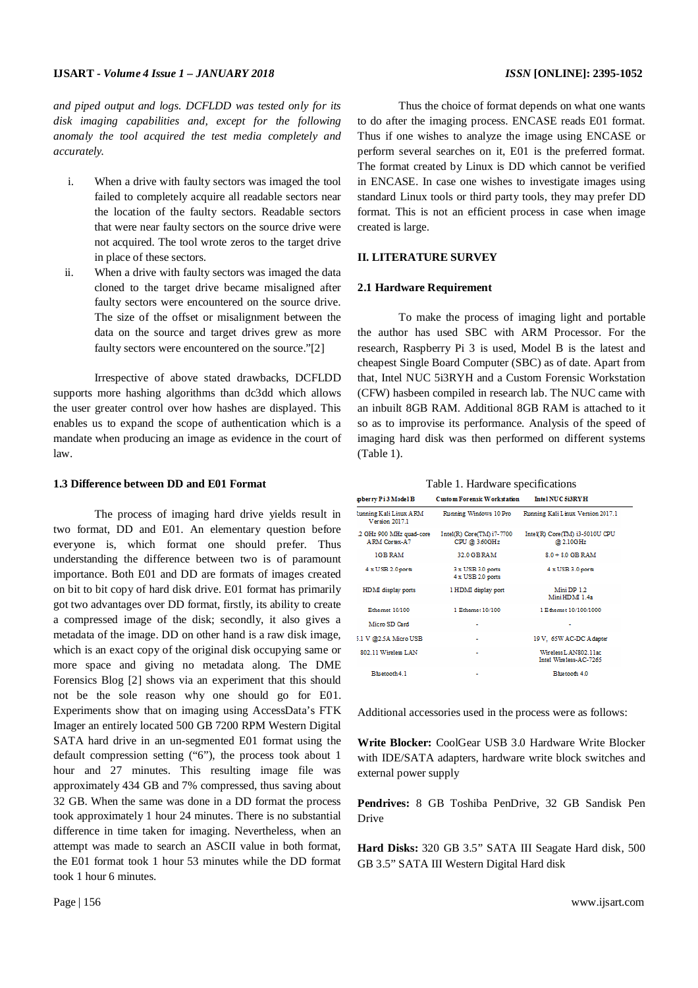#### **IJSART -** *Volume 4 Issue 1 – JANUARY 2018 ISSN* **[ONLINE]: 2395-1052**

*and piped output and logs. DCFLDD was tested only for its disk imaging capabilities and, except for the following anomaly the tool acquired the test media completely and accurately.*

- i. When a drive with faulty sectors was imaged the tool failed to completely acquire all readable sectors near the location of the faulty sectors. Readable sectors that were near faulty sectors on the source drive were not acquired. The tool wrote zeros to the target drive in place of these sectors.
- ii. When a drive with faulty sectors was imaged the data cloned to the target drive became misaligned after faulty sectors were encountered on the source drive. The size of the offset or misalignment between the data on the source and target drives grew as more faulty sectors were encountered on the source."[2]

Irrespective of above stated drawbacks, DCFLDD supports more hashing algorithms than dc3dd which allows the user greater control over how hashes are displayed. This enables us to expand the scope of authentication which is a mandate when producing an image as evidence in the court of law.

#### **1.3 Difference between DD and E01 Format**

The process of imaging hard drive yields result in two format, DD and E01. An elementary question before everyone is, which format one should prefer. Thus understanding the difference between two is of paramount importance. Both E01 and DD are formats of images created on bit to bit copy of hard disk drive. E01 format has primarily got two advantages over DD format, firstly, its ability to create a compressed image of the disk; secondly, it also gives a metadata of the image. DD on other hand is a raw disk image, which is an exact copy of the original disk occupying same or more space and giving no metadata along. The DME Forensics Blog [2] shows via an experiment that this should not be the sole reason why one should go for E01. Experiments show that on imaging using AccessData's FTK Imager an entirely located 500 GB 7200 RPM Western Digital SATA hard drive in an un-segmented E01 format using the default compression setting ("6"), the process took about 1 hour and 27 minutes. This resulting image file was approximately 434 GB and 7% compressed, thus saving about 32 GB. When the same was done in a DD format the process took approximately 1 hour 24 minutes. There is no substantial difference in time taken for imaging. Nevertheless, when an attempt was made to search an ASCII value in both format, the E01 format took 1 hour 53 minutes while the DD format took 1 hour 6 minutes.

Thus the choice of format depends on what one wants to do after the imaging process. ENCASE reads E01 format. Thus if one wishes to analyze the image using ENCASE or perform several searches on it, E01 is the preferred format. The format created by Linux is DD which cannot be verified in ENCASE. In case one wishes to investigate images using standard Linux tools or third party tools, they may prefer DD format. This is not an efficient process in case when image created is large.

#### **II. LITERATURE SURVEY**

#### **2.1 Hardware Requirement**

To make the process of imaging light and portable the author has used SBC with ARM Processor. For the research, Raspberry Pi 3 is used, Model B is the latest and cheapest Single Board Computer (SBC) as of date. Apart from that, Intel NUC 5i3RYH and a Custom Forensic Workstation (CFW) hasbeen compiled in research lab. The NUC came with an inbuilt 8GB RAM. Additional 8GB RAM is attached to it so as to improvise its performance. Analysis of the speed of imaging hard disk was then performed on different systems (Table 1).

| pberry Pi3 Model B                             | Custom Forensic Workstation                | Intel NUC 5i3RY H                               |
|------------------------------------------------|--------------------------------------------|-------------------------------------------------|
| tunning Kali Linux ARM<br>Version 2017.1       | Running Windows 10 Pro                     | Running Kali Linux Version 2017.1               |
| 2 GHz 900 MHz quad-core<br><b>ARM Corex-A7</b> | Intel(R) Core(TM) i7-7700<br>CPU @ 3.60GHz | Intel(R) Core(TM) i3-5010U CPU<br>@ 2.10GHz     |
| IGBRAM                                         | 32.0 GB RAM                                | $8.0 + 8.0$ GB RAM                              |
| 4 x USB 2.0 ports                              | 3 x USB 3.0 ports<br>4 x USB 2.0 ports     | 4 x USB 3.0 ports                               |
| HDMI display ports                             | 1 HDMI display port                        | Mini DP 12<br>Mini HDM 1.4a                     |
| Ethernet 10/100                                | 1 Ethernet 10/100                          | 1 E themet 10/100/1000                          |
| Micro SD Card                                  | ٠                                          |                                                 |
| 5.1 V @2.5A Micro USB                          | ٠                                          | 19 V. 65W AC-DC Adapter                         |
| 802.11 Wireless LAN                            |                                            | Wireless L AN802.11ac<br>Intel Wireless-AC-7265 |
| <b>Ringtooth 4.1</b>                           |                                            | Bluetooth 4.0                                   |

Additional accessories used in the process were as follows:

**Write Blocker:** CoolGear USB 3.0 Hardware Write Blocker with IDE/SATA adapters, hardware write block switches and external power supply

**Pendrives:** 8 GB Toshiba PenDrive, 32 GB Sandisk Pen Drive

**Hard Disks:** 320 GB 3.5" SATA III Seagate Hard disk, 500 GB 3.5" SATA III Western Digital Hard disk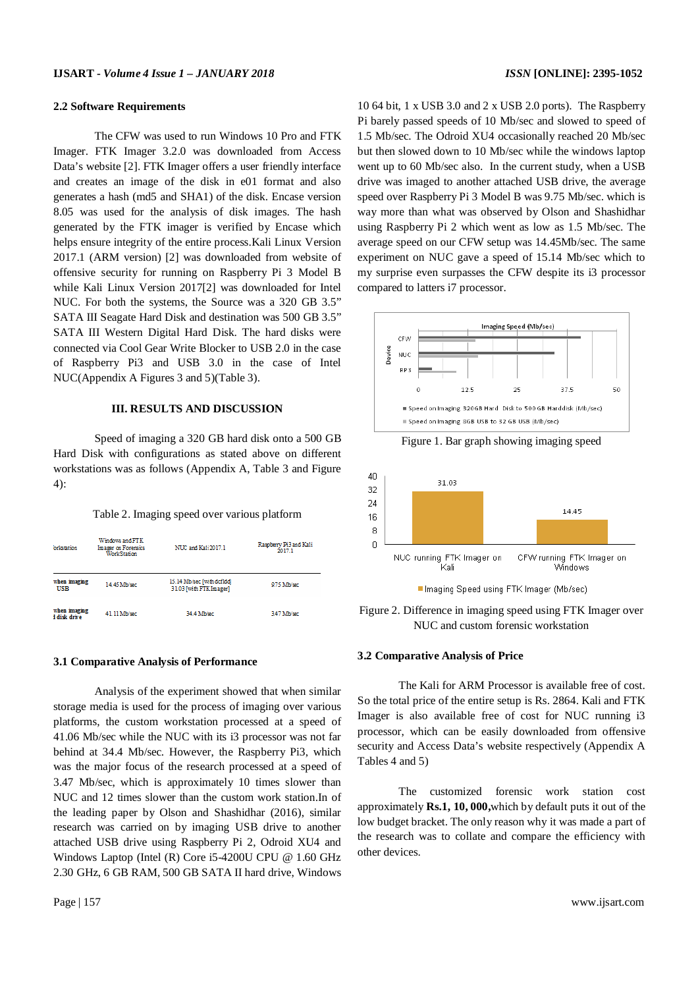#### **2.2 Software Requirements**

The CFW was used to run Windows 10 Pro and FTK Imager. FTK Imager 3.2.0 was downloaded from Access Data's website [2]. FTK Imager offers a user friendly interface and creates an image of the disk in e01 format and also generates a hash (md5 and SHA1) of the disk. Encase version 8.05 was used for the analysis of disk images. The hash generated by the FTK imager is verified by Encase which helps ensure integrity of the entire process.Kali Linux Version 2017.1 (ARM version) [2] was downloaded from website of offensive security for running on Raspberry Pi 3 Model B while Kali Linux Version 2017[2] was downloaded for Intel NUC. For both the systems, the Source was a 320 GB 3.5" SATA III Seagate Hard Disk and destination was 500 GB 3.5" SATA III Western Digital Hard Disk. The hard disks were connected via Cool Gear Write Blocker to USB 2.0 in the case of Raspberry Pi3 and USB 3.0 in the case of Intel NUC(Appendix A Figures 3 and 5)(Table 3).

### **III. RESULTS AND DISCUSSION**

Speed of imaging a 320 GB hard disk onto a 500 GB Hard Disk with configurations as stated above on different workstations was as follows (Appendix A, Table 3 and Figure 4):

Table 2. Imaging speed over various platform

| oristation                   | Windows and FTK.<br>Imager on Forensics<br><b>Work Station</b> | NUC and Kali 2017.1                                  | Raspberry Pi3 and Kali<br>2017.1 |
|------------------------------|----------------------------------------------------------------|------------------------------------------------------|----------------------------------|
| when imaging<br><b>USB</b>   | 14.45 Mb/sec                                                   | 15.14 Mb/sec [with dcf]dd]<br>3103 [with FTK Imager] | 9.75 Mb/sec                      |
| when imaging<br>I disk drive | 41.11 Mb/sec                                                   | 34.4 Mb/sec                                          | 3.47 Mb/sec                      |

#### **3.1 Comparative Analysis of Performance**

Analysis of the experiment showed that when similar storage media is used for the process of imaging over various platforms, the custom workstation processed at a speed of 41.06 Mb/sec while the NUC with its i3 processor was not far behind at 34.4 Mb/sec. However, the Raspberry Pi3, which was the major focus of the research processed at a speed of 3.47 Mb/sec, which is approximately 10 times slower than NUC and 12 times slower than the custom work station.In of the leading paper by Olson and Shashidhar (2016), similar research was carried on by imaging USB drive to another attached USB drive using Raspberry Pi 2, Odroid XU4 and Windows Laptop (Intel (R) Core i5-4200U CPU @ 1.60 GHz 2.30 GHz, 6 GB RAM, 500 GB SATA II hard drive, Windows

10 64 bit, 1 x USB 3.0 and 2 x USB 2.0 ports). The Raspberry Pi barely passed speeds of 10 Mb/sec and slowed to speed of 1.5 Mb/sec. The Odroid XU4 occasionally reached 20 Mb/sec but then slowed down to 10 Mb/sec while the windows laptop went up to 60 Mb/sec also. In the current study, when a USB drive was imaged to another attached USB drive, the average speed over Raspberry Pi 3 Model B was 9.75 Mb/sec. which is way more than what was observed by Olson and Shashidhar using Raspberry Pi 2 which went as low as 1.5 Mb/sec. The average speed on our CFW setup was 14.45Mb/sec. The same experiment on NUC gave a speed of 15.14 Mb/sec which to my surprise even surpasses the CFW despite its i3 processor compared to latters i7 processor.



Figure 1. Bar graph showing imaging speed



Imaging Speed using FTK Imager (Mb/sec)

Figure 2. Difference in imaging speed using FTK Imager over NUC and custom forensic workstation

#### **3.2 Comparative Analysis of Price**

The Kali for ARM Processor is available free of cost. So the total price of the entire setup is Rs. 2864. Kali and FTK Imager is also available free of cost for NUC running i3 processor, which can be easily downloaded from offensive security and Access Data's website respectively (Appendix A Tables 4 and 5)

The customized forensic work station cost approximately **Rs.1, 10, 000,**which by default puts it out of the low budget bracket. The only reason why it was made a part of the research was to collate and compare the efficiency with other devices.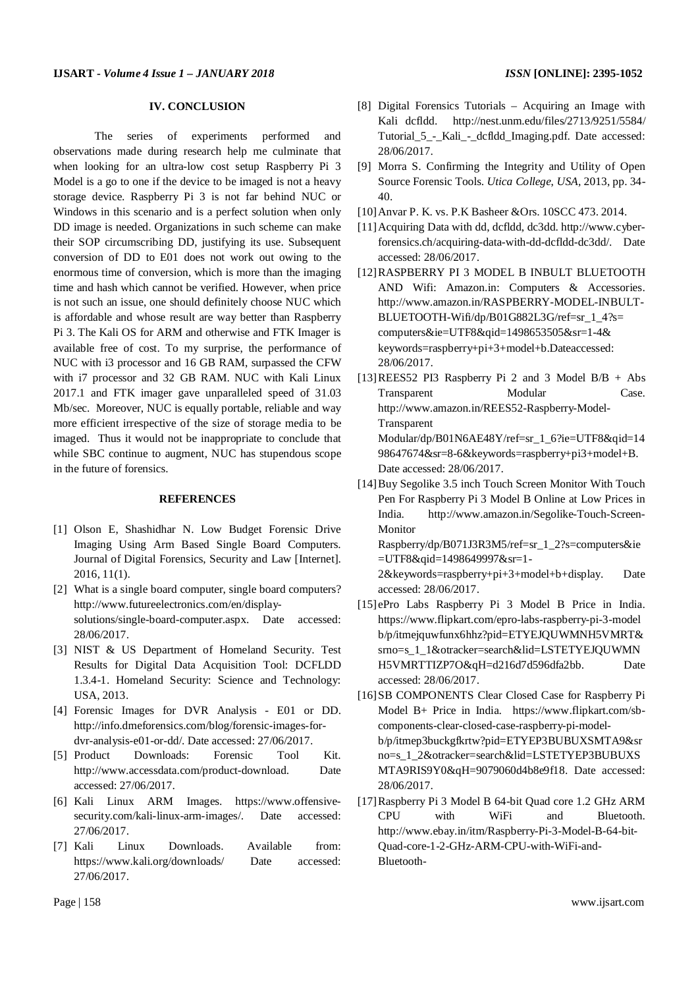#### **IV. CONCLUSION**

The series of experiments performed and observations made during research help me culminate that when looking for an ultra-low cost setup Raspberry Pi 3 Model is a go to one if the device to be imaged is not a heavy storage device. Raspberry Pi 3 is not far behind NUC or Windows in this scenario and is a perfect solution when only DD image is needed. Organizations in such scheme can make their SOP circumscribing DD, justifying its use. Subsequent conversion of DD to E01 does not work out owing to the enormous time of conversion, which is more than the imaging time and hash which cannot be verified. However, when price is not such an issue, one should definitely choose NUC which is affordable and whose result are way better than Raspberry Pi 3. The Kali OS for ARM and otherwise and FTK Imager is available free of cost. To my surprise, the performance of NUC with i3 processor and 16 GB RAM, surpassed the CFW with i7 processor and 32 GB RAM. NUC with Kali Linux 2017.1 and FTK imager gave unparalleled speed of 31.03 Mb/sec. Moreover, NUC is equally portable, reliable and way more efficient irrespective of the size of storage media to be imaged. Thus it would not be inappropriate to conclude that while SBC continue to augment, NUC has stupendous scope in the future of forensics.

#### **REFERENCES**

- [1] Olson E, Shashidhar N. Low Budget Forensic Drive Imaging Using Arm Based Single Board Computers. Journal of Digital Forensics, Security and Law [Internet]. 2016, 11(1).
- [2] What is a single board computer, single board computers? http://www.futureelectronics.com/en/displaysolutions/single-board-computer.aspx. Date accessed: 28/06/2017.
- [3] NIST & US Department of Homeland Security. Test Results for Digital Data Acquisition Tool: DCFLDD 1.3.4-1. Homeland Security: Science and Technology: USA, 2013.
- [4] Forensic Images for DVR Analysis E01 or DD. http://info.dmeforensics.com/blog/forensic-images-fordvr-analysis-e01-or-dd/. Date accessed: 27/06/2017.
- [5] Product Downloads: Forensic Tool Kit. http://www.accessdata.com/product-download. Date accessed: 27/06/2017.
- [6] Kali Linux ARM Images. https://www.offensivesecurity.com/kali-linux-arm-images/. Date accessed: 27/06/2017.
- [7] Kali Linux Downloads. Available from: https://www.kali.org/downloads/ Date accessed: 27/06/2017.
- [8] Digital Forensics Tutorials Acquiring an Image with Kali dcfldd. http://nest.unm.edu/files/2713/9251/5584/ Tutorial\_5\_-\_Kali\_-\_dcfldd\_Imaging.pdf. Date accessed: 28/06/2017.
- [9] Morra S. Confirming the Integrity and Utility of Open Source Forensic Tools. *Utica College*, *USA,* 2013, pp. 34- 40.
- [10]Anvar P. K. vs. P.K Basheer &Ors. 10SCC 473. 2014.
- [11]Acquiring Data with dd, dcfldd, dc3dd. http://www.cyberforensics.ch/acquiring-data-with-dd-dcfldd-dc3dd/. Date accessed: 28/06/2017.
- [12]RASPBERRY PI 3 MODEL B INBULT BLUETOOTH AND Wifi: Amazon.in: Computers & Accessories. http://www.amazon.in/RASPBERRY-MODEL-INBULT-BLUETOOTH-Wifi/dp/B01G882L3G/ref=sr\_1\_4?s= computers&ie=UTF8&qid=1498653505&sr=1-4& keywords=raspberry+pi+3+model+b.Dateaccessed: 28/06/2017.
- [13]REES52 PI3 Raspberry Pi 2 and 3 Model B/B + Abs Transparent Modular Case. http://www.amazon.in/REES52-Raspberry-Model-Transparent Modular/dp/B01N6AE48Y/ref=sr\_1\_6?ie=UTF8&qid=14 98647674&sr=8-6&keywords=raspberry+pi3+model+B.
- Date accessed: 28/06/2017. [14]Buy Segolike 3.5 inch Touch Screen Monitor With Touch Pen For Raspberry Pi 3 Model B Online at Low Prices in India. http://www.amazon.in/Segolike-Touch-Screen-Monitor

Raspberry/dp/B071J3R3M5/ref=sr\_1\_2?s=computers&ie =UTF8&qid=1498649997&sr=1-

2&keywords=raspberry+pi+3+model+b+display. Date accessed: 28/06/2017.

- [15]ePro Labs Raspberry Pi 3 Model B Price in India. https://www.flipkart.com/epro-labs-raspberry-pi-3-model b/p/itmejquwfunx6hhz?pid=ETYEJQUWMNH5VMRT& srno=s\_1\_1&otracker=search&lid=LSTETYEJQUWMN H5VMRTTIZP7O&qH=d216d7d596dfa2bb. Date accessed: 28/06/2017.
- [16]SB COMPONENTS Clear Closed Case for Raspberry Pi Model B+ Price in India. https://www.flipkart.com/sbcomponents-clear-closed-case-raspberry-pi-modelb/p/itmep3buckgfkrtw?pid=ETYEP3BUBUXSMTA9&sr no=s\_1\_2&otracker=search&lid=LSTETYEP3BUBUXS MTA9RIS9Y0&qH=9079060d4b8e9f18. Date accessed: 28/06/2017.
- [17]Raspberry Pi 3 Model B 64-bit Quad core 1.2 GHz ARM CPU with WiFi and Bluetooth. http://www.ebay.in/itm/Raspberry-Pi-3-Model-B-64-bit-Quad-core-1-2-GHz-ARM-CPU-with-WiFi-and-Bluetooth-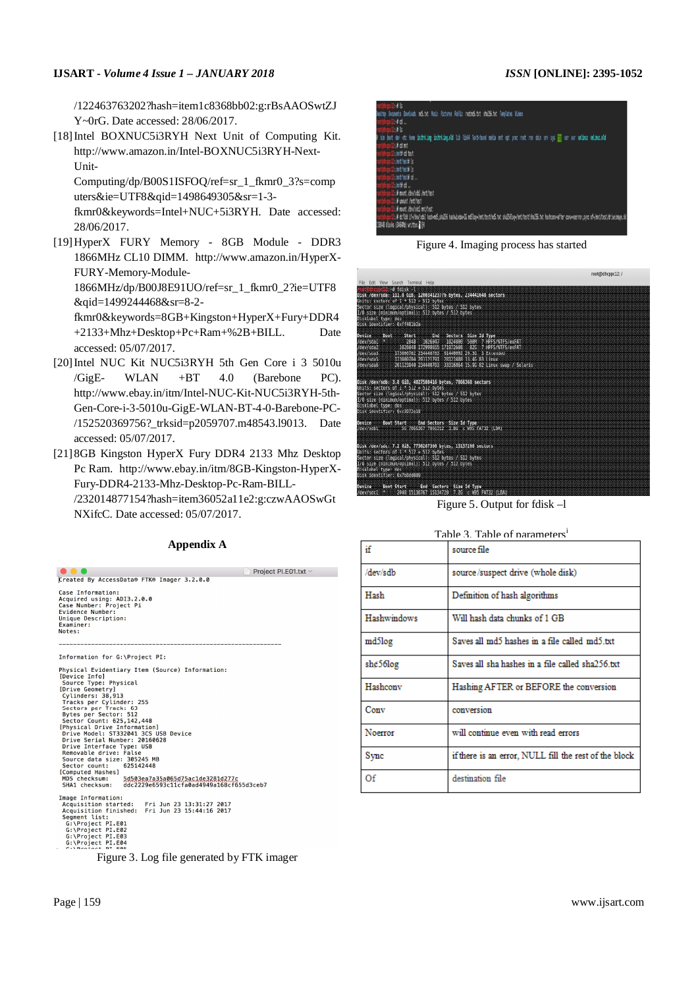### **IJSART -** *Volume 4 Issue 1 – JANUARY 2018 ISSN* **[ONLINE]: 2395-1052**

/122463763202?hash=item1c8368bb02:g:rBsAAOSwtZJ Y~0rG. Date accessed: 28/06/2017.

[18] Intel BOXNUC5i3RYH Next Unit of Computing Kit. http://www.amazon.in/Intel-BOXNUC5i3RYH-Next-Unit-

Computing/dp/B00S1ISFOQ/ref=sr\_1\_fkmr0\_3?s=comp uters&ie=UTF8&qid=1498649305&sr=1-3-

fkmr0&keywords=Intel+NUC+5i3RYH. Date accessed: 28/06/2017.

[19]HyperX FURY Memory - 8GB Module - DDR3 1866MHz CL10 DIMM. http://www.amazon.in/HyperX-FURY-Memory-Module-

1866MHz/dp/B00J8E91UO/ref=sr\_1\_fkmr0\_2?ie=UTF8 &qid=1499244468&sr=8-2-

fkmr0&keywords=8GB+Kingston+HyperX+Fury+DDR4 +2133+Mhz+Desktop+Pc+Ram+%2B+BILL. Date accessed: 05/07/2017.

- [20]Intel NUC Kit NUC5i3RYH 5th Gen Core i 3 5010u  $/GigE$ - WLAN +BT 4.0 (Barebone PC). http://www.ebay.in/itm/Intel-NUC-Kit-NUC5i3RYH-5th-Gen-Core-i-3-5010u-GigE-WLAN-BT-4-0-Barebone-PC- /152520369756?\_trksid=p2059707.m48543.l9013. Date accessed: 05/07/2017.
- [21] 8GB Kingston HyperX Fury DDR4 2133 Mhz Desktop Pc Ram. http://www.ebay.in/itm/8GB-Kingston-HyperX-Fury-DDR4-2133-Mhz-Desktop-Pc-Ram-BILL-

/232014877154?hash=item36052a11e2:g:czwAAOSwGt NXifcC. Date accessed: 05/07/2017.

| Project PI.E01.txt $\sim$                                                                                                                                                                                                                                                                                                                                                                                                                                                                                                                                                                                      |
|----------------------------------------------------------------------------------------------------------------------------------------------------------------------------------------------------------------------------------------------------------------------------------------------------------------------------------------------------------------------------------------------------------------------------------------------------------------------------------------------------------------------------------------------------------------------------------------------------------------|
| Created By AccessData® FTK® Imager 3.2.0.0                                                                                                                                                                                                                                                                                                                                                                                                                                                                                                                                                                     |
| Case Information:<br>Acquired using: ADI3.2.0.0<br>Case Number: Project Pi<br>Evidence Number:<br>Unique Description:<br>Examiner:<br>Notes:                                                                                                                                                                                                                                                                                                                                                                                                                                                                   |
|                                                                                                                                                                                                                                                                                                                                                                                                                                                                                                                                                                                                                |
| Information for G:\Project PI:                                                                                                                                                                                                                                                                                                                                                                                                                                                                                                                                                                                 |
| Physical Evidentiary Item (Source) Information:<br>[Device Info]<br>Source Type: Physical<br>[Drive Geometry]<br>Cylinders: 38.913<br>Tracks per Cylinder: 255<br>Sectors per Track: 63<br>Bytes per Sector: 512<br>Sector Count: 625, 142, 448<br>[Physical Drive Information]<br>Drive Model: ST332041 3CS USB Device<br>Drive Serial Number: 20160628<br>Drive Interface Type: USB<br>Removable drive: False<br>Source data size: 305245 MB<br>Sector count:<br>625142448<br>[Computed Hashes]<br>MD5 checksum: 5d503ea7a35a065d75ac1de3281d277c<br>SHA1 checksum: ddc2229e6593c11cfa0ad4949a168cf655d3ceb7 |
| Image Information:<br>Acquisition started: Fri Jun 23 13:31:27 2017<br>Acquisition finished: Fri Jun 23 15:44:16 2017<br>Seament list:                                                                                                                                                                                                                                                                                                                                                                                                                                                                         |

#### **Appendix A**

| 146<br>lesito Socuents Dowloads motivat Music Pictures Public rootmotivat shallented Templates Videos<br>‼ 4 d<br><b>Hills</b>                                                                                                                                                          |
|-----------------------------------------------------------------------------------------------------------------------------------------------------------------------------------------------------------------------------------------------------------------------------------------|
| bis boot der etc home initraling initraling.old lib libSA loot+hond media met opt proc root run shin sor sys <mark>are</mark> war var <b>wiling</b> whispatabl<br>1/2 of mt<br><b>Zulantil</b> cd test<br><b>Zulat/tet# 1s</b><br>himilted is                                           |
| himilet d'<br>blett d…<br>in a mont /deu/stb1 /mt/test<br>2. It mount finitiest<br>1: It munt /deu/sdc1 mit/test<br>1:4 d:fldd 1f=/deu/sdb1 hash=of5,sha256 hashulodo=16 nd5loq=/mt/test/nd5.txt sha250.oq=/mt/test/sha256.txt hashconvafter convenernor,sync of=/mt/test/drivelnage.dd |
| 118848 blocks (34649b) written. [[ [ ]]                                                                                                                                                                                                                                                 |

Figure 4. Imaging process has started

|                                                                                                                                                                                                                                                                                                          | root@dhcppc12:/ |
|----------------------------------------------------------------------------------------------------------------------------------------------------------------------------------------------------------------------------------------------------------------------------------------------------------|-----------------|
| File Edit View Search Terminal Help                                                                                                                                                                                                                                                                      |                 |
| <b>The British War</b><br>Disk /dev/sda: 111.8 GiB, 120034123776 bytes, 234441648 sectors<br>Units: sectors of I * 512 = 512 bytes:<br>Sector size (logical/physical): 512 bytes / 512 bytes<br>1/0 size (minimum/optimal): 512 bytes / 512 bytes<br>Disklabel type: dos:<br>Disk identifier: 0xff401b2a |                 |
| Start End Sectors Size To Type<br>Device -<br><b>Boot</b><br>/dev/sdal<br>/dev/sda2<br>/dev/sda3<br>173000704 201121791 28121088 13.46 83 Linux<br>/dev/sda5<br>201123840 234440703 33316864 15.96 82 Linux swap / Solaris<br>/dev/sda6                                                                  |                 |
| Disk /dev/sdb: 3.8 GiB, 4027580416 bytes, 7866368 sectors<br>Units: sectors of $1 + 512 = 512$ bytes<br>Sector size (logical/physical): 512 bytes / 512 bytes<br>1/0 size (minimum/optimal): 512 bytes / 512 bytes:<br>Disklabel type: dos<br>Disk identifier: 0xc3072c18                                |                 |
| Device Boot Start End Sectors Size Id Type<br>/dev/sdb1 56 7866367 7866312 3.8G c W95 FAT32 (LBA)                                                                                                                                                                                                        |                 |
| Disk /dev/sdc: 7.2 GiB, 7750287360 bytes, 15137280 sectors<br>Units sectors of 1 * 512 = 512 bytes<br>Sector size ilogical/physical). S12 bytes / S12 bytes<br>1/0 size (minimum/optimal): 512 byles / 512 bytes<br>Oisklabel type: dos<br>Disk identifier: 0x758dd009                                   |                 |
| Device<br>Boot Start End Sectors Size Id Type<br>/dev/sdc1 * 2048 15136767 15134728 7.26 c W95 FAT32 (LBA)                                                                                                                                                                                               |                 |

Figure 5. Output for fdisk –l

| Table 3 Table of parameters <sup>1</sup> |
|------------------------------------------|
|------------------------------------------|

| if                 | source file                                           |
|--------------------|-------------------------------------------------------|
| /dev/sdb           | source/suspect drive (whole disk)                     |
| Hash               | Definition of hash algorithms                         |
| <b>Hashwindows</b> | Will hash data chunks of 1 GB                         |
| md5log             | Saves all md5 hashes in a file called md5.txt         |
| she56log           | Saves all sha hashes in a file called sha256.txt      |
| Hashcony           | Hashing AFTER or BEFORE the conversion                |
| Conv               | conversion                                            |
| Noerror            | will continue even with read errors                   |
| Sync               | if there is an error, NULL fill the rest of the block |
| Of                 | destination file                                      |